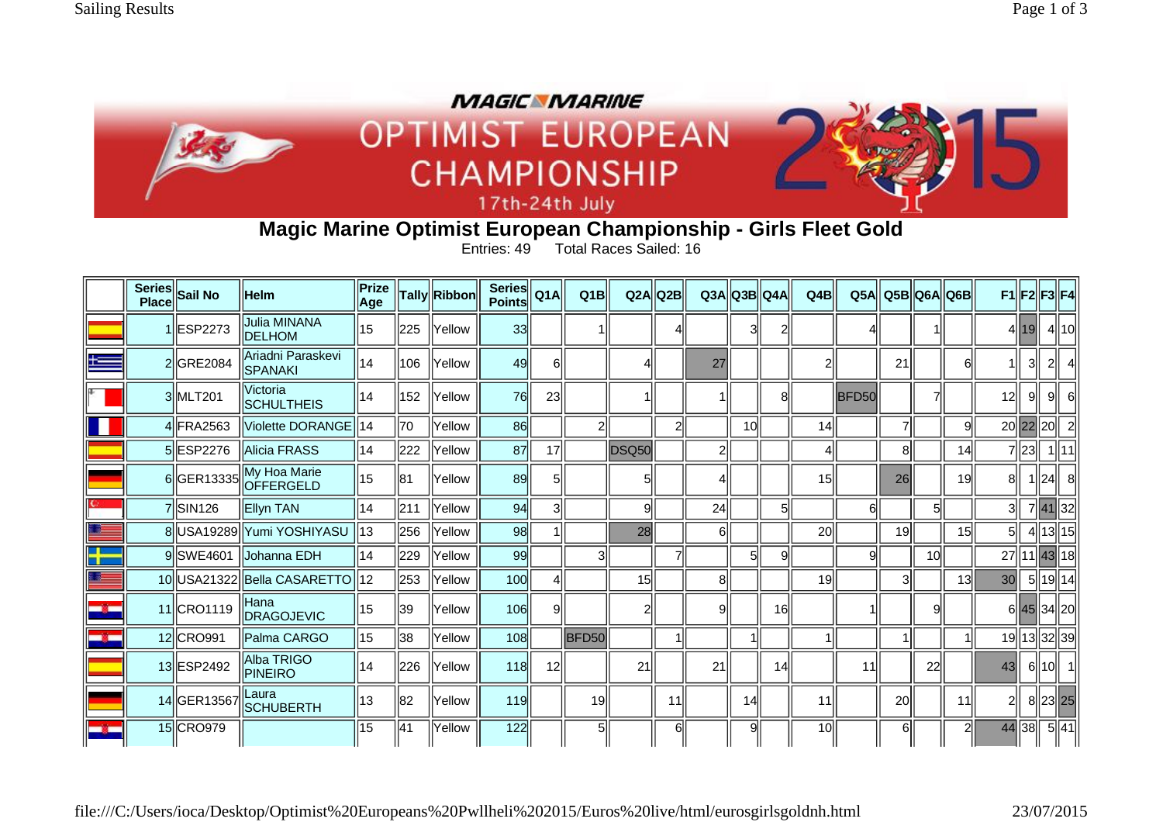

## **Magic Marine Optimist European Championship - Girls Fleet Gold**

Entries: 49 Total Races Sailed: 16

|               | Series Sail No       | <b>Helm</b>                          | Prize<br><b>Age</b> |     | Tally <b>Ribbon</b> | <b>Series</b><br><b>Points</b> | Q1A | Q1B            | Q2A   | lQ2B           |                | Q3A  Q3B  Q4A |    | Q4B             | Q5A   |    |                 | Q5B  Q6A  Q6B   |                 |                 |          | $F1$  F2  F3  F4 |
|---------------|----------------------|--------------------------------------|---------------------|-----|---------------------|--------------------------------|-----|----------------|-------|----------------|----------------|---------------|----|-----------------|-------|----|-----------------|-----------------|-----------------|-----------------|----------|------------------|
|               | 1 ESP2273            | <b>Julia MINANA</b><br><b>DELHOM</b> | 15                  | 225 | Yellow              | 33                             |     |                |       |                |                | 3             | 2  |                 |       |    |                 |                 |                 | 4  19           |          | $4$   10         |
| $+ =$         | 2 GRE2084            | Ariadni Paraskevi<br>SPANAKI         | 14                  | 106 | Yellow              | 49                             | 6II |                |       |                | 27             |               |    |                 |       | 21 |                 | 61              |                 | 31              |          |                  |
|               | 3MLT201              | <b>Victoria</b><br><b>SCHULTHEIS</b> | 14                  | 152 | Yellow              | 76                             | 23  |                |       |                |                |               | 8  |                 | BFD50 |    | 7               |                 | 12              | -91             | 9        |                  |
|               | 4 FRA2563            | Violette DORANGE   14                |                     | 70  | Yellow              | 86                             |     | $\overline{2}$ |       | $\overline{2}$ |                | 10            |    | 14              |       | 7  |                 | 9l              |                 | 20 22 20        |          | $\overline{2}$   |
|               | 5 ESP2276            | <b>Alicia FRASS</b>                  | 14                  | 222 | Yellow              | 87                             | 17  |                | DSQ50 |                | $\overline{2}$ |               |    |                 |       | 8  |                 | 14              |                 | 7 23            |          | $1$   11         |
|               | 6 GER13335           | My Hoa Marie<br>OFFERGELD            | 15                  | 81  | Yellow              | 89                             | 5   |                |       |                | 41             |               |    | 15              |       | 26 |                 | 19              | 81              |                 | $\ 24\ $ | 8                |
|               | 7 SIN <sub>126</sub> | Ellyn TAN                            | 14                  | 211 | Yellow              | 94                             | 3   |                | 9     |                | 24             |               | 5  |                 | ค     |    | 51              |                 | 31              |                 |          | 7 41 32          |
|               |                      | 8  USA19289   Yumi YOSHIYASU         | 13                  | 256 | Yellow              | 98                             |     |                | 28    |                | 61             |               |    | 20 <sup>1</sup> |       | 19 |                 | 15              | 5               |                 |          | $\sqrt{4 13 15}$ |
| ╋             | 9 SWE4601            | <b>Johanna EDH</b>                   | 14                  | 229 | Yellow              | 99                             |     | 3              |       | 7              |                | 5             | 9  |                 | q     |    | 10 <sup>1</sup> |                 |                 |                 |          | 27 11 43 18      |
| ÷             |                      | 10 USA21322 Bella CASARETTO          | 12                  | 253 | Yellow              | 100                            | 4ll |                | 15    |                | 81             |               |    | 19              |       | 3  |                 | 13 <sup>l</sup> | 30 <sub>l</sub> |                 |          | 5  19  14        |
| шģ.           | 11 CRO1119           | Hana<br>DRAGOJEVIC                   | 15                  | 39  | <b>Yellow</b>       | 106                            | 9   |                | 2     |                | 9              |               | 16 |                 |       |    | 9               |                 |                 |                 |          | 6 45 34 20       |
| -g.           | 12 CRO991            | Palma CARGO                          | 15                  | 38  | Yellow              | <b>108</b>                     |     | BFD50          |       | 1              |                |               |    |                 |       |    |                 |                 |                 |                 |          | 19  13  32  39   |
|               | 13 ESP2492           | Alba TRIGO<br><b>PINEIRO</b>         | 14                  | 226 | Yellow              | <b>118</b>                     | 12  |                | 21    |                | 21             |               | 14 |                 | 11    |    | 22              |                 | 43              |                 | 6  10    | -11              |
|               | 14 GER13567          | Laura<br><b>SCHUBERTH</b>            | 13                  | 82  | Yellow              | <b>119</b>                     |     | 19             |       | 11             |                | 14            |    | 11              |       | 20 |                 | 11              | $\overline{c}$  |                 |          | 8 23 25          |
| <b>Signal</b> | 15 CRO979            |                                      | $\overline{15}$     | 41  | Yellow              | 122                            |     | 5              |       | 6              |                | $\mathbf{Q}$  |    | 10 <sup>1</sup> |       | 6  |                 | 2 <sub>1</sub>  | 44              | $\overline{38}$ |          | 5 41             |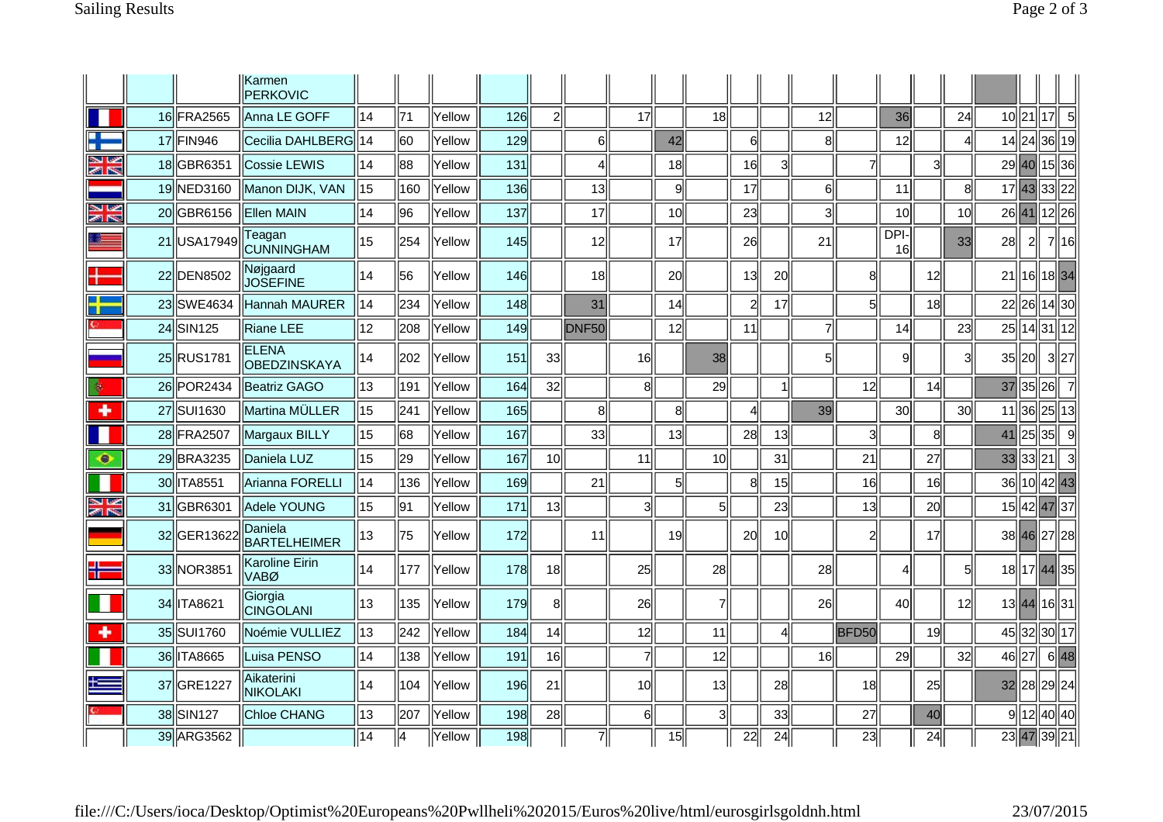|                  |             | Karmen<br><b>PERKOVIC</b>           |                 |                |               |     |                 |                   |                 |                 |                |                 |                 |                |                |                 |                 |                 |                 |       |    |                |
|------------------|-------------|-------------------------------------|-----------------|----------------|---------------|-----|-----------------|-------------------|-----------------|-----------------|----------------|-----------------|-----------------|----------------|----------------|-----------------|-----------------|-----------------|-----------------|-------|----|----------------|
|                  | 16 FRA2565  | Anna LE GOFF                        | 14              | 71             | <b>Yellow</b> | 126 | $\overline{2}$  |                   | 17              |                 | 18             |                 |                 | 12             |                | 36              |                 | 24              | 10 <sup>1</sup> | 21    | 17 | 5              |
| a L<br>т         | 17 FIN946   | Cecilia DAHLBERG 14                 |                 | 60             | Yellow        | 129 |                 | 6                 |                 | 42              |                | $6 \mid$        |                 | 8              |                | 12              |                 | ΔΙ              | 14              | 24    |    | 36  19         |
| y<br>Ma          | 18 GBR6351  | Cossie LEWIS                        | 14              | 88             | Yellow        | 131 |                 | 4                 |                 | 18              |                | 16              | 31              |                | 7              |                 | 3               |                 | 29              | 40    |    | 15  36         |
|                  | 19 NED3160  | Manon DIJK, VAN                     | 15              | 160            | Yellow        | 136 |                 | 13                |                 | 9               |                | 17              |                 | 6 <sup>1</sup> |                | 11              |                 | 8               |                 | 17 43 |    | 33 22          |
| V<br>ৰুণ চহ      | 20 GBR6156  | <b>Ellen MAIN</b>                   | 14              | 96             | Yellow        | 137 |                 | 17                |                 | 10 <sup>1</sup> |                | 23              |                 | 3              |                | 10              |                 | 10 <sup>1</sup> | 26              | 41    |    | 12  26         |
|                  | 21 USA17949 | Teagan<br>CUNNINGHAM                | 15              | 254            | Yellow        | 145 |                 | 12                |                 | 17              |                | 26              |                 | 21             |                | DPI-<br>16      |                 | 33              | 28              | 2     |    | 7 16           |
|                  | 22 DEN8502  | Nøjgaard<br><b>JOSEFINE</b>         | 14              | 56             | Yellow        | 146 |                 | 18                |                 | 20              |                | 13              | 20              |                | 8              |                 | 12              |                 | 21              | 16    |    | 1834           |
| - II             | 23 SWE4634  | Hannah MAURER                       | 14              | 234            | Yellow        | 148 |                 | 31                |                 | 14              |                | $\overline{c}$  | 17              |                | 5 <sup>1</sup> |                 | 18 <sup>1</sup> |                 | 22              | 26    |    | 14  30         |
|                  | 24 SIN125   | Riane LEE                           | 12              | 208            | Yellow        | 149 |                 | DNF <sub>50</sub> |                 | 12              |                | 11              |                 | $\overline{7}$ |                | 14              |                 | 23              | 25              | 14    |    | 31  12         |
|                  | 25 RUS1781  | <b>ELENA</b><br><b>OBEDZINSKAYA</b> | 14              | 202            | Yellow        | 151 | 33              |                   | 16              |                 | 38             |                 |                 | 51             |                | $\overline{9}$  |                 | 3ll             | 35              | 20    |    | 3  27          |
|                  | 26 POR 2434 | Beatriz GAGO                        | 13              | 191            | Yellow        | 164 | 32              |                   | 8               |                 | 29             |                 |                 |                | 12             |                 | 14              |                 | 37              | 35    | 26 | $\overline{7}$ |
| ۰                | 27 SUI1630  | Martina MÜLLER                      | 15              | 241            | Yellow        | 165 |                 | 8 <sup>1</sup>    |                 | 8               |                | $\overline{4}$  |                 | 39             |                | 30 <sup>°</sup> |                 | 30 <sup>1</sup> | 11              | 36    |    | 25  13         |
|                  | 28 FRA2507  | Margaux BILLY                       | 15              | 68             | Yellow        | 167 |                 | 33                |                 | 13              |                | 28              | 13              |                | 3              |                 | 8               |                 | 41              | 25    | 35 | 9              |
| ۰                | 29 BRA3235  | Daniela LUZ                         | 15              | 29             | Yellow        | 167 | 10 <sup>1</sup> |                   | 11              |                 | 10             |                 | 31              |                | 21             |                 | 27              |                 | 33              | 33    | 21 | -3             |
|                  | 30 TA8551   | Arianna FORELLI                     | 14              | 136            | Yellow        | 169 |                 | 21                |                 | 5 <sup>1</sup>  |                | 8               | 15              |                | 16             |                 | 16              |                 | 36              | 10    |    | 42  43         |
| Ľ<br><b>MINE</b> | 31 GBR6301  | Adele YOUNG                         | 15              | 91             | Yellow        | 171 | 13              |                   | 3               |                 | 5              |                 | 23              |                | 13             |                 | <b>20</b>       |                 | 15              | 42    |    | 47 37          |
|                  | 32 GER13622 | Daniela<br>BARTELHEIMER             | 13              | 75             | Yellow        | 172 |                 | 11                |                 | 19              |                | 20              | 10 <sup>1</sup> |                | 2              |                 | 17              |                 |                 |       |    | 38 46 27 28    |
|                  | 33 NOR3851  | <b>Karoline Eirin</b><br>VABØ       | 14              | 177            | Yellow        | 178 | 18              |                   | 25              |                 | 28             |                 |                 | 28             |                | 4               |                 | 51              |                 |       |    | 18 17 44 35    |
|                  | 34 TA8621   | Giorgia<br><b>CINGOLANI</b>         | 13              | 135            | Yellow        | 179 | 8               |                   | 26              |                 | $\overline{7}$ |                 |                 | 26             |                | 40              |                 | 12              |                 | 13 44 |    | 16 31          |
| ÷                | 35 SUI1760  | Noémie VULLIEZ                      | 13              | 242            | Yellow        | 184 | 14              |                   | 12              |                 | 11             |                 | $\overline{4}$  |                | BFD50          |                 | 19              |                 | 45              | 32    |    | 30  17         |
|                  | 36 TA8665   | Luisa PENSO                         | 14              | 138            | Yellow        | 191 | 16              |                   | 7               |                 | 12             |                 |                 | 16             |                | 29              |                 | 32 <sup>2</sup> | 46              | 27    |    | 6 48           |
|                  | 37 GRE1227  | Aikaterini<br>NIKOLAKI              | 14              | 104            | Yellow        | 196 | 21              |                   | 10 <sup>1</sup> |                 | 13             |                 | 28              |                | 18             |                 | 25              |                 | 32              | 28    |    | 29 24          |
|                  | 38 SIN127   | Chloe CHANG                         | 13              | 207            | Yellow        | 198 | 28              |                   | 6               |                 | $\mathbf{3}$   |                 | 33              |                | 27             |                 | 40              |                 | 9l              | 12    |    | 40  40         |
|                  | 39 ARG3562  |                                     | $\overline{14}$ | $\overline{4}$ | Yellow        | 198 |                 | $\overline{7}$    |                 | $\overline{15}$ |                | $\overline{22}$ | $\overline{24}$ |                | 23             |                 | 24              |                 |                 | 23 47 |    | 39 21          |